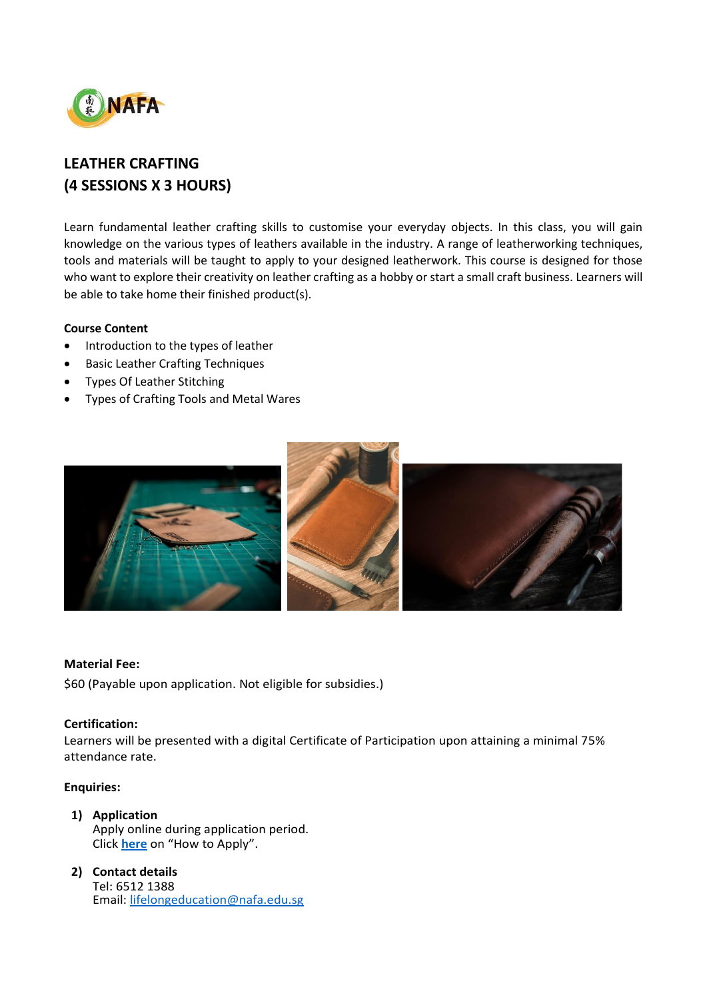

# **LEATHER CRAFTING (4 SESSIONS X 3 HOURS)**

Learn fundamental leather crafting skills to customise your everyday objects. In this class, you will gain knowledge on the various types of leathers available in the industry. A range of leatherworking techniques, tools and materials will be taught to apply to your designed leatherwork. This course is designed for those who want to explore their creativity on leather crafting as a hobby or start a small craft business. Learners will be able to take home their finished product(s).

## **Course Content**

- Introduction to the types of leather
- Basic Leather Crafting Techniques
- Types Of Leather Stitching
- Types of Crafting Tools and Metal Wares



#### **Material Fee:**

\$60 (Payable upon application. Not eligible for subsidies.)

#### **Certification:**

Learners will be presented with a digital Certificate of Participation upon attaining a minimal 75% attendance rate.

### **Enquiries:**

- **1) Application** Apply online during application period. Click **[here](https://www.nafa.edu.sg/courses/part-time/short-courses#collapseFive)** on "How to Apply".
- **2) Contact details** Tel: 6512 1388 Email: [lifelongeducation@nafa.edu.sg](mailto:lifelongeducation@nafa.edu.sg)